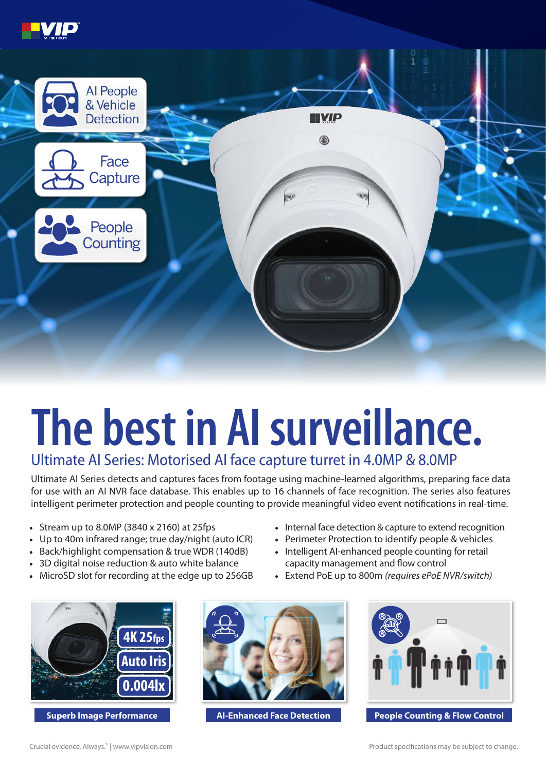



## **The best in AI surveillance.**

## Ultimate AI Series: Motorised AI face capture turret in 4.0MP & 8.0MP

Ultimate AI Series detects and captures faces from footage using machine-learned algorithms, preparing face data for use with an AI NVR face database. This enables up to 16 channels of face recognition. The series also features intelligent perimeter protection and people counting to provide meaningful video event notifications in real-time.

- Stream up to 8.0MP (3840 x 2160) at 25fps
- Up to 40m infrared range; true day/night (auto ICR)
- Back/highlight compensation & true WDR (140dB)
- 3D digital noise reduction & auto white balance
- MicroSD slot for recording at the edge up to 256GB
- Internal face detection & capture to extend recognition
- Perimeter Protection to identify people & vehicles
- Intelligent AI-enhanced people counting for retail capacity management and flow control
- Extend PoE up to 800m *(requires ePoE NVR/switch)*





**Superb Image Performance AI-Enhanced Face Detection** 



**People Counting & Flow Control**